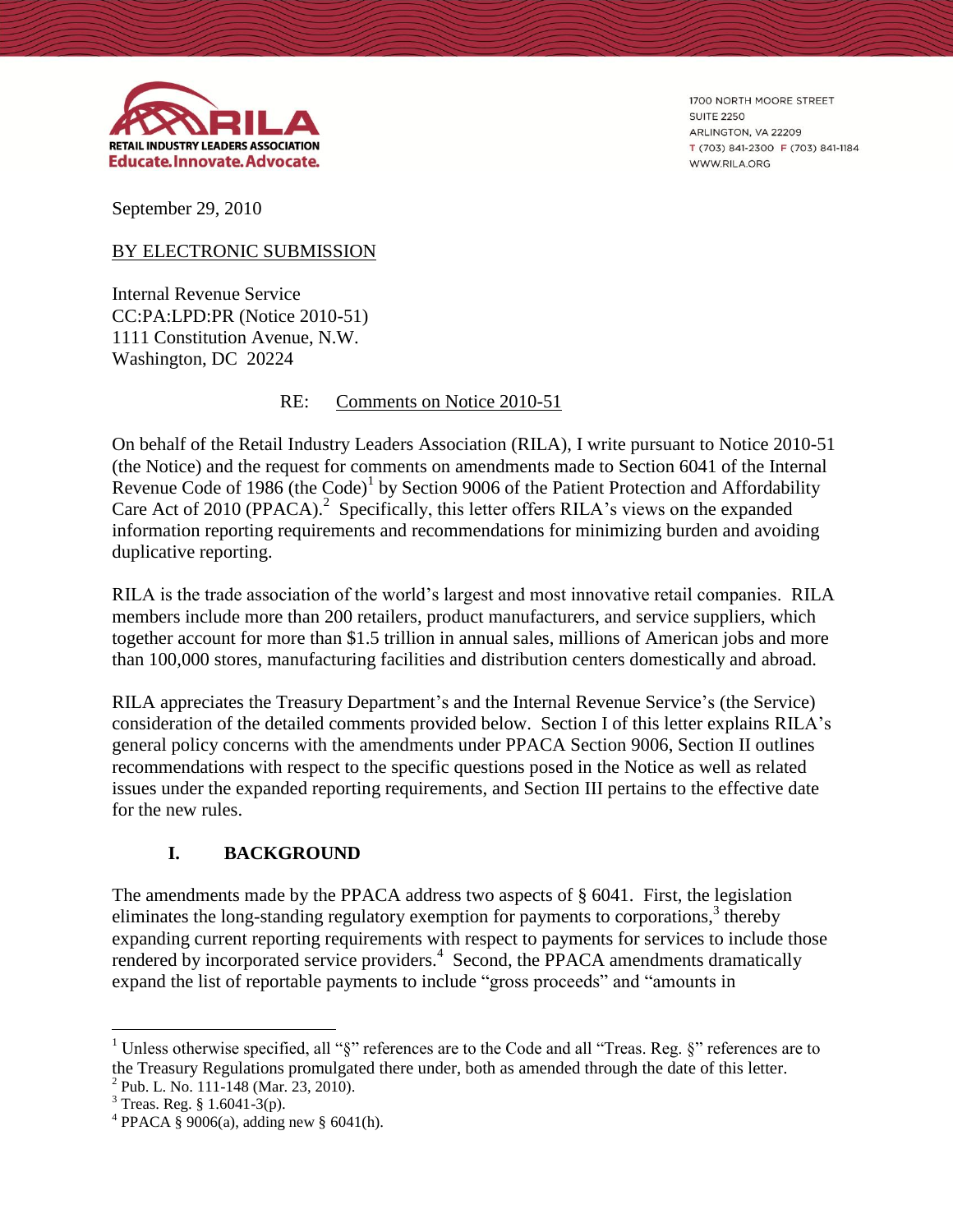

1700 NORTH MOORE STREET **SUITE 2250** ARLINGTON, VA 22209 T (703) 841-2300 F (703) 841-1184 WWW.RILA.ORG

September 29, 2010

#### BY ELECTRONIC SUBMISSION

Internal Revenue Service CC:PA:LPD:PR (Notice 2010-51) 1111 Constitution Avenue, N.W. Washington, DC 20224

#### RE: Comments on Notice 2010-51

On behalf of the Retail Industry Leaders Association (RILA), I write pursuant to Notice 2010-51 (the Notice) and the request for comments on amendments made to Section 6041 of the Internal Revenue Code of 1986 (the Code)<sup>1</sup> by Section 9006 of the Patient Protection and Affordability Care Act of 2010 (PPACA).<sup>2</sup> Specifically, this letter offers RILA's views on the expanded information reporting requirements and recommendations for minimizing burden and avoiding duplicative reporting.

RILA is the trade association of the world's largest and most innovative retail companies. RILA members include more than 200 retailers, product manufacturers, and service suppliers, which together account for more than \$1.5 trillion in annual sales, millions of American jobs and more than 100,000 stores, manufacturing facilities and distribution centers domestically and abroad.

RILA appreciates the Treasury Department's and the Internal Revenue Service's (the Service) consideration of the detailed comments provided below. Section I of this letter explains RILA's general policy concerns with the amendments under PPACA Section 9006, Section II outlines recommendations with respect to the specific questions posed in the Notice as well as related issues under the expanded reporting requirements, and Section III pertains to the effective date for the new rules.

### **I. BACKGROUND**

The amendments made by the PPACA address two aspects of § 6041. First, the legislation eliminates the long-standing regulatory exemption for payments to corporations, $3$  thereby expanding current reporting requirements with respect to payments for services to include those rendered by incorporated service providers.<sup>4</sup> Second, the PPACA amendments dramatically expand the list of reportable payments to include "gross proceeds" and "amounts in

 $\overline{a}$ 

<sup>&</sup>lt;sup>1</sup> Unless otherwise specified, all " $\S$ " references are to the Code and all "Treas. Reg.  $\S$ " references are to the Treasury Regulations promulgated there under, both as amended through the date of this letter. <sup>2</sup> Pub. L. No. 111-148 (Mar. 23, 2010).

<sup>3</sup> Treas. Reg. § 1.6041-3(p).

 $4$  PPACA § 9006(a), adding new § 6041(h).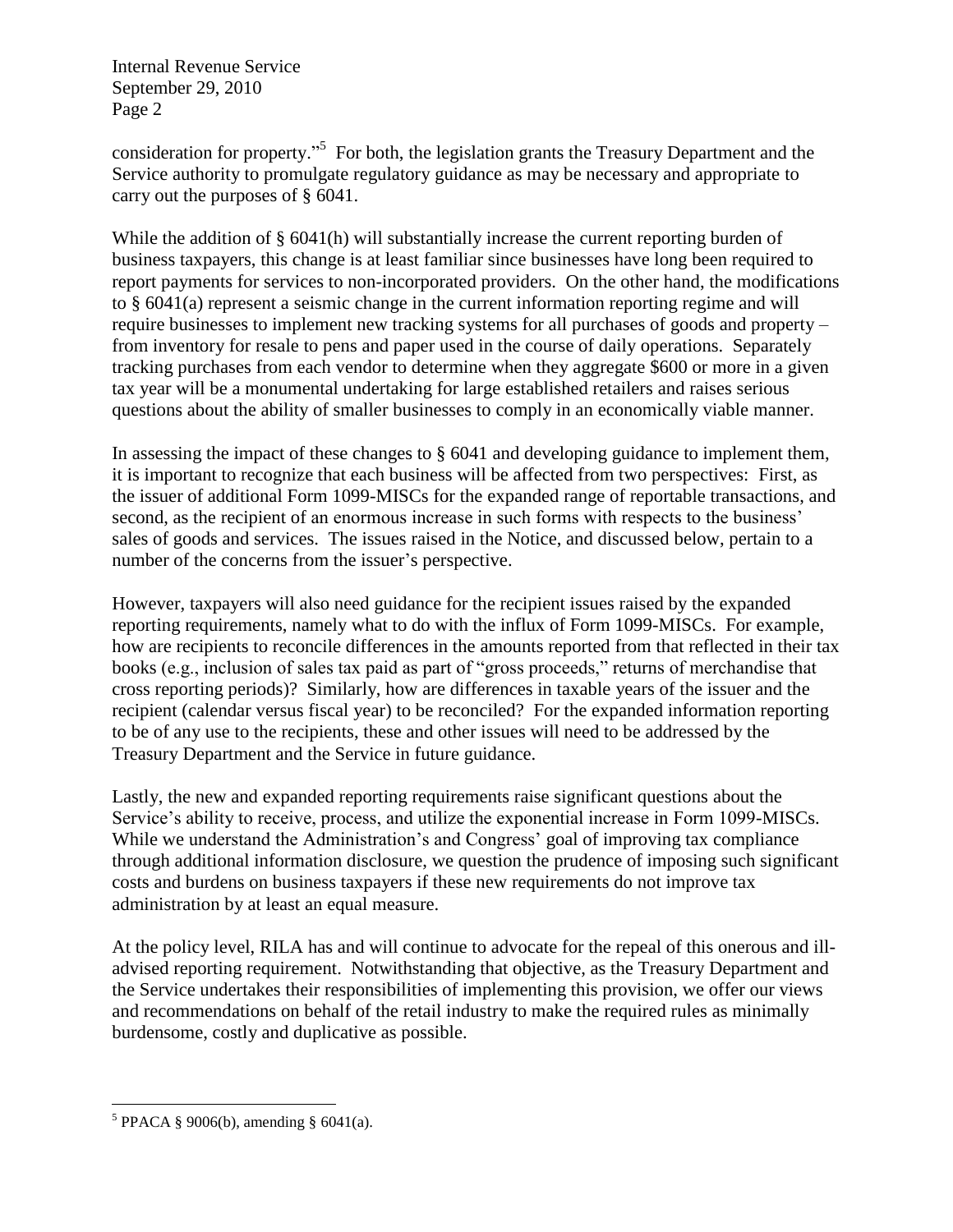consideration for property."<sup>5</sup> For both, the legislation grants the Treasury Department and the Service authority to promulgate regulatory guidance as may be necessary and appropriate to carry out the purposes of § 6041.

While the addition of § 6041(h) will substantially increase the current reporting burden of business taxpayers, this change is at least familiar since businesses have long been required to report payments for services to non-incorporated providers. On the other hand, the modifications to § 6041(a) represent a seismic change in the current information reporting regime and will require businesses to implement new tracking systems for all purchases of goods and property – from inventory for resale to pens and paper used in the course of daily operations. Separately tracking purchases from each vendor to determine when they aggregate \$600 or more in a given tax year will be a monumental undertaking for large established retailers and raises serious questions about the ability of smaller businesses to comply in an economically viable manner.

In assessing the impact of these changes to § 6041 and developing guidance to implement them, it is important to recognize that each business will be affected from two perspectives: First, as the issuer of additional Form 1099-MISCs for the expanded range of reportable transactions, and second, as the recipient of an enormous increase in such forms with respects to the business' sales of goods and services. The issues raised in the Notice, and discussed below, pertain to a number of the concerns from the issuer's perspective.

However, taxpayers will also need guidance for the recipient issues raised by the expanded reporting requirements, namely what to do with the influx of Form 1099-MISCs. For example, how are recipients to reconcile differences in the amounts reported from that reflected in their tax books (e.g., inclusion of sales tax paid as part of "gross proceeds," returns of merchandise that cross reporting periods)? Similarly, how are differences in taxable years of the issuer and the recipient (calendar versus fiscal year) to be reconciled? For the expanded information reporting to be of any use to the recipients, these and other issues will need to be addressed by the Treasury Department and the Service in future guidance.

Lastly, the new and expanded reporting requirements raise significant questions about the Service's ability to receive, process, and utilize the exponential increase in Form 1099-MISCs. While we understand the Administration's and Congress' goal of improving tax compliance through additional information disclosure, we question the prudence of imposing such significant costs and burdens on business taxpayers if these new requirements do not improve tax administration by at least an equal measure.

At the policy level, RILA has and will continue to advocate for the repeal of this onerous and illadvised reporting requirement. Notwithstanding that objective, as the Treasury Department and the Service undertakes their responsibilities of implementing this provision, we offer our views and recommendations on behalf of the retail industry to make the required rules as minimally burdensome, costly and duplicative as possible.

 $\overline{a}$ <sup>5</sup> PPACA § 9006(b), amending § 6041(a).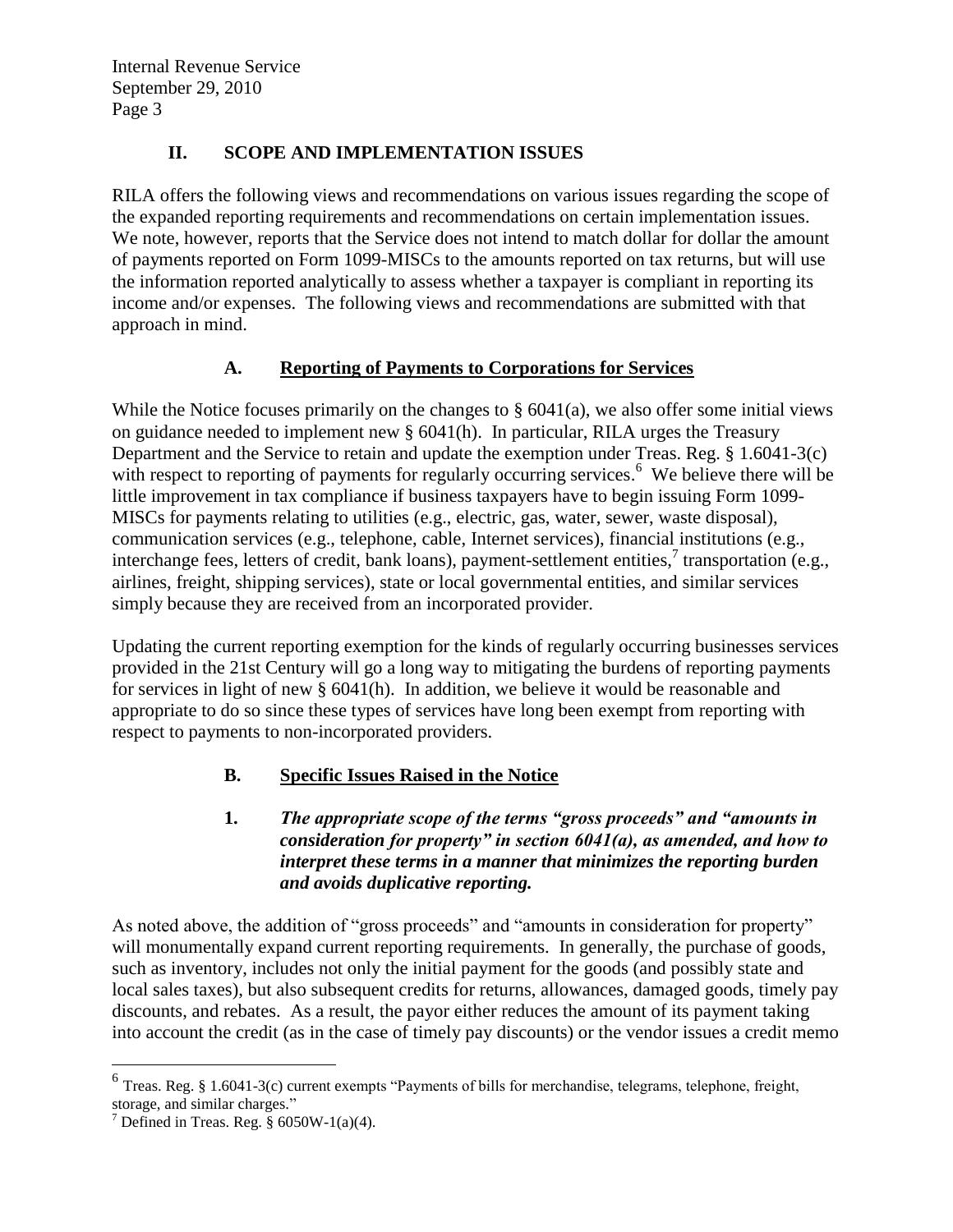## **II. SCOPE AND IMPLEMENTATION ISSUES**

RILA offers the following views and recommendations on various issues regarding the scope of the expanded reporting requirements and recommendations on certain implementation issues. We note, however, reports that the Service does not intend to match dollar for dollar the amount of payments reported on Form 1099-MISCs to the amounts reported on tax returns, but will use the information reported analytically to assess whether a taxpayer is compliant in reporting its income and/or expenses. The following views and recommendations are submitted with that approach in mind.

## **A. Reporting of Payments to Corporations for Services**

While the Notice focuses primarily on the changes to § 6041(a), we also offer some initial views on guidance needed to implement new § 6041(h). In particular, RILA urges the Treasury Department and the Service to retain and update the exemption under Treas. Reg. § 1.6041-3(c) with respect to reporting of payments for regularly occurring services.<sup>6</sup> We believe there will be little improvement in tax compliance if business taxpayers have to begin issuing Form 1099- MISCs for payments relating to utilities (e.g., electric, gas, water, sewer, waste disposal), communication services (e.g., telephone, cable, Internet services), financial institutions (e.g., interchange fees, letters of credit, bank loans), payment-settlement entities,<sup>7</sup> transportation (e.g., airlines, freight, shipping services), state or local governmental entities, and similar services simply because they are received from an incorporated provider.

Updating the current reporting exemption for the kinds of regularly occurring businesses services provided in the 21st Century will go a long way to mitigating the burdens of reporting payments for services in light of new § 6041(h). In addition, we believe it would be reasonable and appropriate to do so since these types of services have long been exempt from reporting with respect to payments to non-incorporated providers.

# **B. Specific Issues Raised in the Notice**

### **1.** *The appropriate scope of the terms "gross proceeds" and "amounts in consideration for property" in section 6041(a), as amended, and how to interpret these terms in a manner that minimizes the reporting burden and avoids duplicative reporting.*

As noted above, the addition of "gross proceeds" and "amounts in consideration for property" will monumentally expand current reporting requirements. In generally, the purchase of goods, such as inventory, includes not only the initial payment for the goods (and possibly state and local sales taxes), but also subsequent credits for returns, allowances, damaged goods, timely pay discounts, and rebates. As a result, the payor either reduces the amount of its payment taking into account the credit (as in the case of timely pay discounts) or the vendor issues a credit memo

 $\overline{a}$ 

 $6$  Treas. Reg. § 1.6041-3(c) current exempts "Payments of bills for merchandise, telegrams, telephone, freight, storage, and similar charges."

<sup>&</sup>lt;sup>7</sup> Defined in Treas. Reg.  $\frac{8}{9}$  6050W-1(a)(4).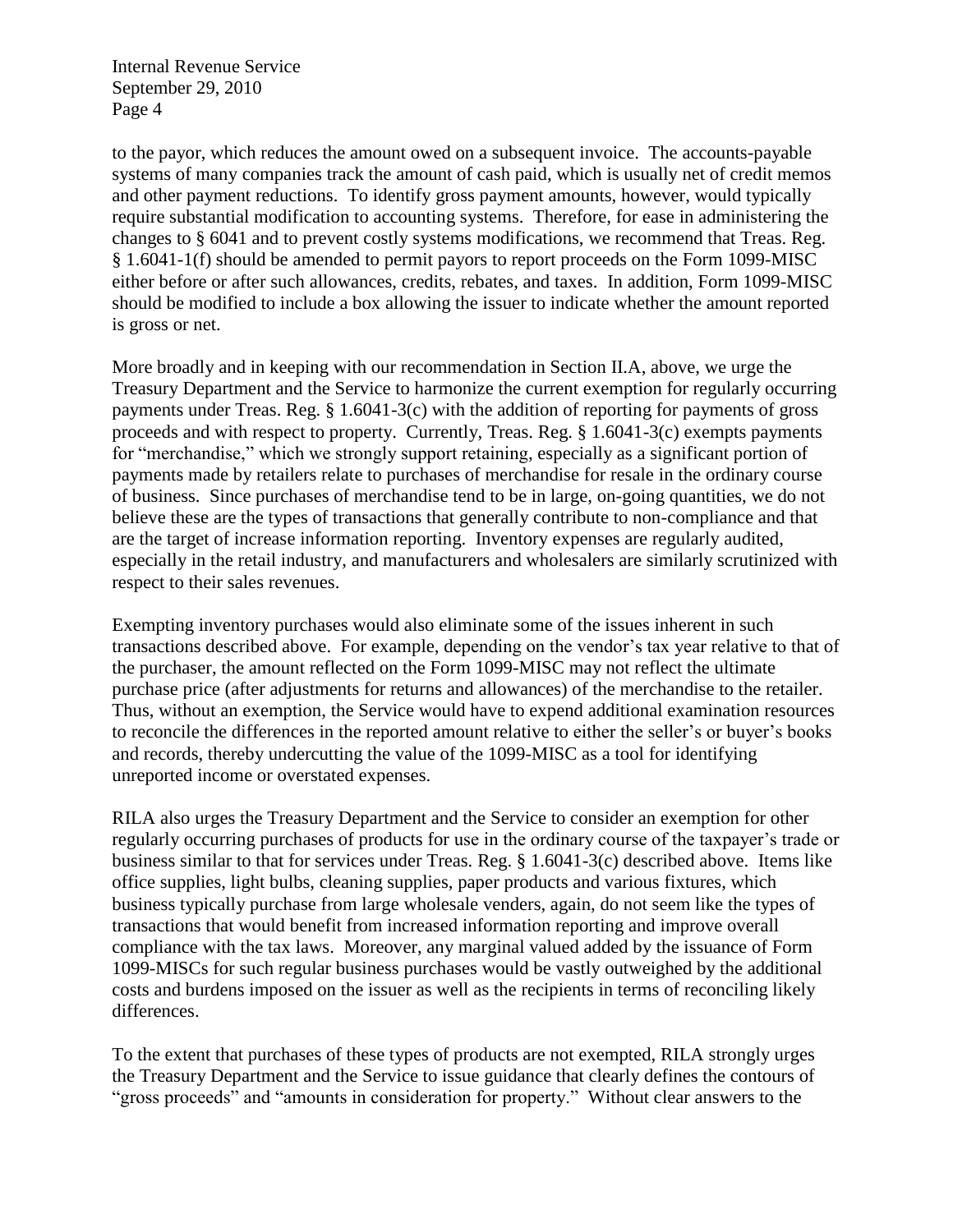to the payor, which reduces the amount owed on a subsequent invoice. The accounts-payable systems of many companies track the amount of cash paid, which is usually net of credit memos and other payment reductions. To identify gross payment amounts, however, would typically require substantial modification to accounting systems. Therefore, for ease in administering the changes to § 6041 and to prevent costly systems modifications, we recommend that Treas. Reg. § 1.6041-1(f) should be amended to permit payors to report proceeds on the Form 1099-MISC either before or after such allowances, credits, rebates, and taxes. In addition, Form 1099-MISC should be modified to include a box allowing the issuer to indicate whether the amount reported is gross or net.

More broadly and in keeping with our recommendation in Section II.A, above, we urge the Treasury Department and the Service to harmonize the current exemption for regularly occurring payments under Treas. Reg. § 1.6041-3(c) with the addition of reporting for payments of gross proceeds and with respect to property. Currently, Treas. Reg. § 1.6041-3(c) exempts payments for "merchandise," which we strongly support retaining, especially as a significant portion of payments made by retailers relate to purchases of merchandise for resale in the ordinary course of business. Since purchases of merchandise tend to be in large, on-going quantities, we do not believe these are the types of transactions that generally contribute to non-compliance and that are the target of increase information reporting. Inventory expenses are regularly audited, especially in the retail industry, and manufacturers and wholesalers are similarly scrutinized with respect to their sales revenues.

Exempting inventory purchases would also eliminate some of the issues inherent in such transactions described above. For example, depending on the vendor's tax year relative to that of the purchaser, the amount reflected on the Form 1099-MISC may not reflect the ultimate purchase price (after adjustments for returns and allowances) of the merchandise to the retailer. Thus, without an exemption, the Service would have to expend additional examination resources to reconcile the differences in the reported amount relative to either the seller's or buyer's books and records, thereby undercutting the value of the 1099-MISC as a tool for identifying unreported income or overstated expenses.

RILA also urges the Treasury Department and the Service to consider an exemption for other regularly occurring purchases of products for use in the ordinary course of the taxpayer's trade or business similar to that for services under Treas. Reg. § 1.6041-3(c) described above. Items like office supplies, light bulbs, cleaning supplies, paper products and various fixtures, which business typically purchase from large wholesale venders, again, do not seem like the types of transactions that would benefit from increased information reporting and improve overall compliance with the tax laws. Moreover, any marginal valued added by the issuance of Form 1099-MISCs for such regular business purchases would be vastly outweighed by the additional costs and burdens imposed on the issuer as well as the recipients in terms of reconciling likely differences.

To the extent that purchases of these types of products are not exempted, RILA strongly urges the Treasury Department and the Service to issue guidance that clearly defines the contours of "gross proceeds" and "amounts in consideration for property." Without clear answers to the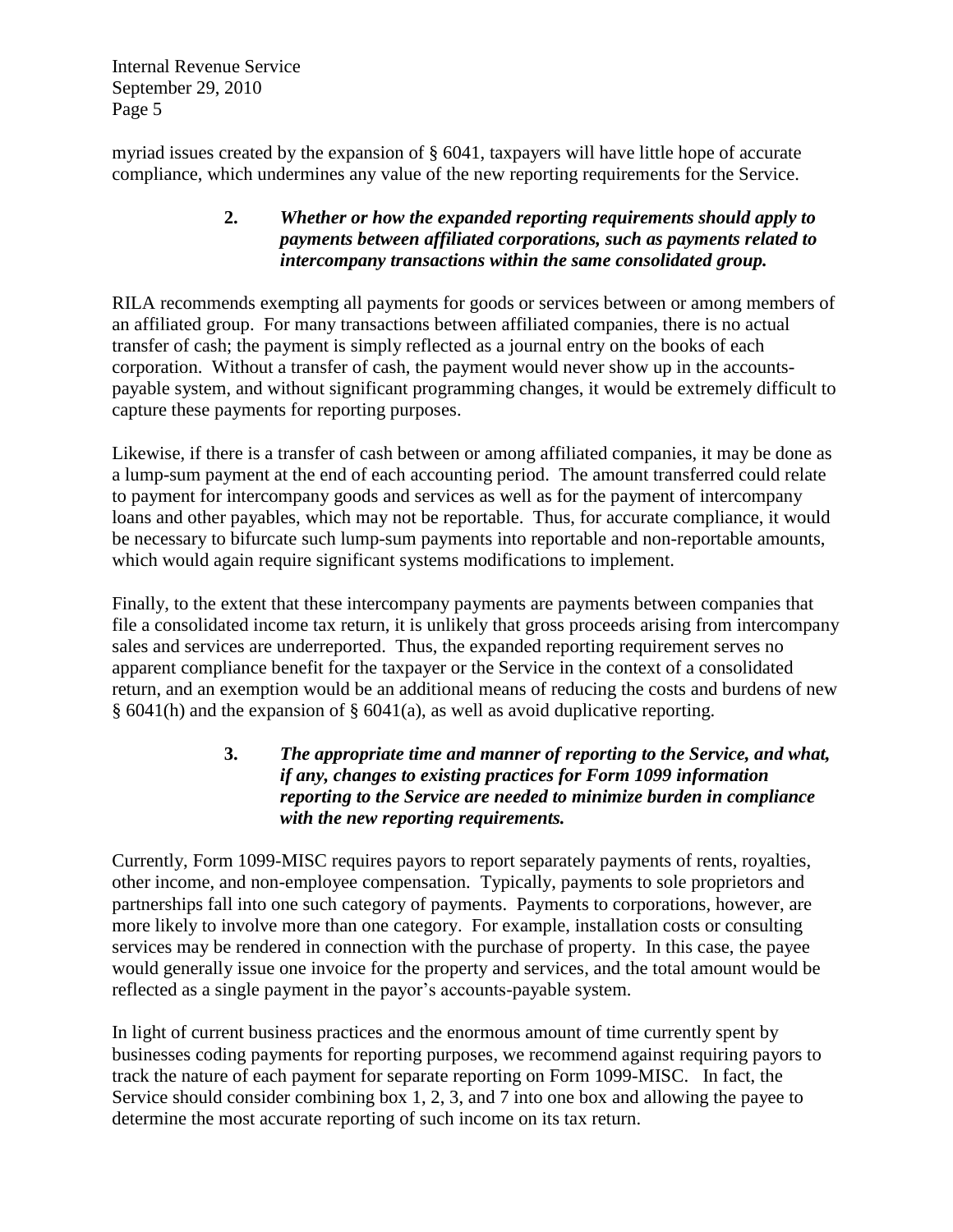myriad issues created by the expansion of § 6041, taxpayers will have little hope of accurate compliance, which undermines any value of the new reporting requirements for the Service.

### **2.** *Whether or how the expanded reporting requirements should apply to payments between affiliated corporations, such as payments related to intercompany transactions within the same consolidated group.*

RILA recommends exempting all payments for goods or services between or among members of an affiliated group. For many transactions between affiliated companies, there is no actual transfer of cash; the payment is simply reflected as a journal entry on the books of each corporation. Without a transfer of cash, the payment would never show up in the accountspayable system, and without significant programming changes, it would be extremely difficult to capture these payments for reporting purposes.

Likewise, if there is a transfer of cash between or among affiliated companies, it may be done as a lump-sum payment at the end of each accounting period. The amount transferred could relate to payment for intercompany goods and services as well as for the payment of intercompany loans and other payables, which may not be reportable. Thus, for accurate compliance, it would be necessary to bifurcate such lump-sum payments into reportable and non-reportable amounts, which would again require significant systems modifications to implement.

Finally, to the extent that these intercompany payments are payments between companies that file a consolidated income tax return, it is unlikely that gross proceeds arising from intercompany sales and services are underreported. Thus, the expanded reporting requirement serves no apparent compliance benefit for the taxpayer or the Service in the context of a consolidated return, and an exemption would be an additional means of reducing the costs and burdens of new § 6041(h) and the expansion of § 6041(a), as well as avoid duplicative reporting.

### **3.** *The appropriate time and manner of reporting to the Service, and what, if any, changes to existing practices for Form 1099 information reporting to the Service are needed to minimize burden in compliance with the new reporting requirements.*

Currently, Form 1099-MISC requires payors to report separately payments of rents, royalties, other income, and non-employee compensation. Typically, payments to sole proprietors and partnerships fall into one such category of payments. Payments to corporations, however, are more likely to involve more than one category. For example, installation costs or consulting services may be rendered in connection with the purchase of property. In this case, the payee would generally issue one invoice for the property and services, and the total amount would be reflected as a single payment in the payor's accounts-payable system.

In light of current business practices and the enormous amount of time currently spent by businesses coding payments for reporting purposes, we recommend against requiring payors to track the nature of each payment for separate reporting on Form 1099-MISC. In fact, the Service should consider combining box 1, 2, 3, and 7 into one box and allowing the payee to determine the most accurate reporting of such income on its tax return.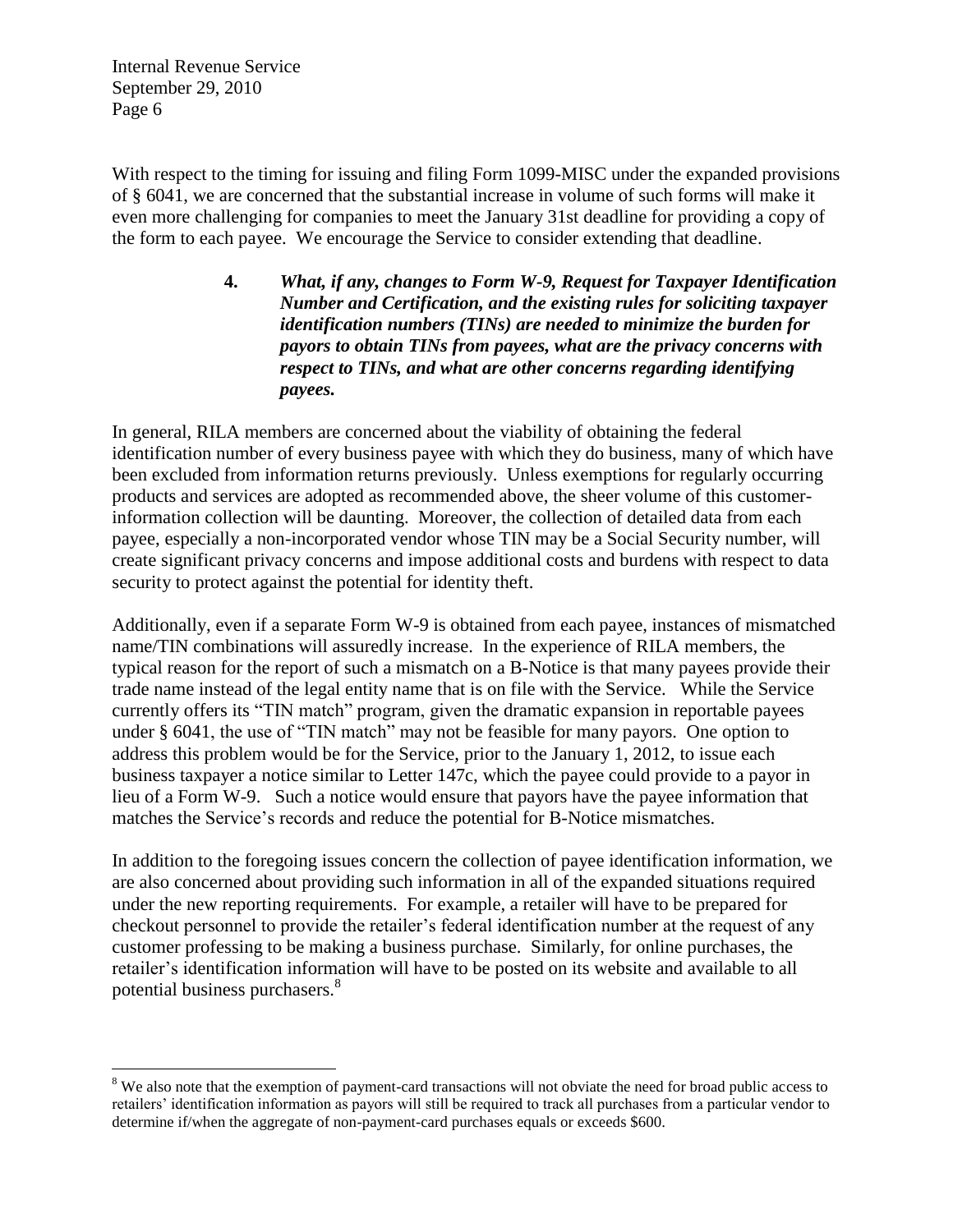$\overline{a}$ 

With respect to the timing for issuing and filing Form 1099-MISC under the expanded provisions of § 6041, we are concerned that the substantial increase in volume of such forms will make it even more challenging for companies to meet the January 31st deadline for providing a copy of the form to each payee. We encourage the Service to consider extending that deadline.

> **4.** *What, if any, changes to Form W-9, Request for Taxpayer Identification Number and Certification, and the existing rules for soliciting taxpayer identification numbers (TINs) are needed to minimize the burden for payors to obtain TINs from payees, what are the privacy concerns with respect to TINs, and what are other concerns regarding identifying payees.*

In general, RILA members are concerned about the viability of obtaining the federal identification number of every business payee with which they do business, many of which have been excluded from information returns previously. Unless exemptions for regularly occurring products and services are adopted as recommended above, the sheer volume of this customerinformation collection will be daunting. Moreover, the collection of detailed data from each payee, especially a non-incorporated vendor whose TIN may be a Social Security number, will create significant privacy concerns and impose additional costs and burdens with respect to data security to protect against the potential for identity theft.

Additionally, even if a separate Form W-9 is obtained from each payee, instances of mismatched name/TIN combinations will assuredly increase. In the experience of RILA members, the typical reason for the report of such a mismatch on a B-Notice is that many payees provide their trade name instead of the legal entity name that is on file with the Service. While the Service currently offers its "TIN match" program, given the dramatic expansion in reportable payees under § 6041, the use of "TIN match" may not be feasible for many payors. One option to address this problem would be for the Service, prior to the January 1, 2012, to issue each business taxpayer a notice similar to Letter 147c, which the payee could provide to a payor in lieu of a Form W-9. Such a notice would ensure that payors have the payee information that matches the Service's records and reduce the potential for B-Notice mismatches.

In addition to the foregoing issues concern the collection of payee identification information, we are also concerned about providing such information in all of the expanded situations required under the new reporting requirements. For example, a retailer will have to be prepared for checkout personnel to provide the retailer's federal identification number at the request of any customer professing to be making a business purchase. Similarly, for online purchases, the retailer's identification information will have to be posted on its website and available to all potential business purchasers.<sup>8</sup>

<sup>&</sup>lt;sup>8</sup> We also note that the exemption of payment-card transactions will not obviate the need for broad public access to retailers' identification information as payors will still be required to track all purchases from a particular vendor to determine if/when the aggregate of non-payment-card purchases equals or exceeds \$600.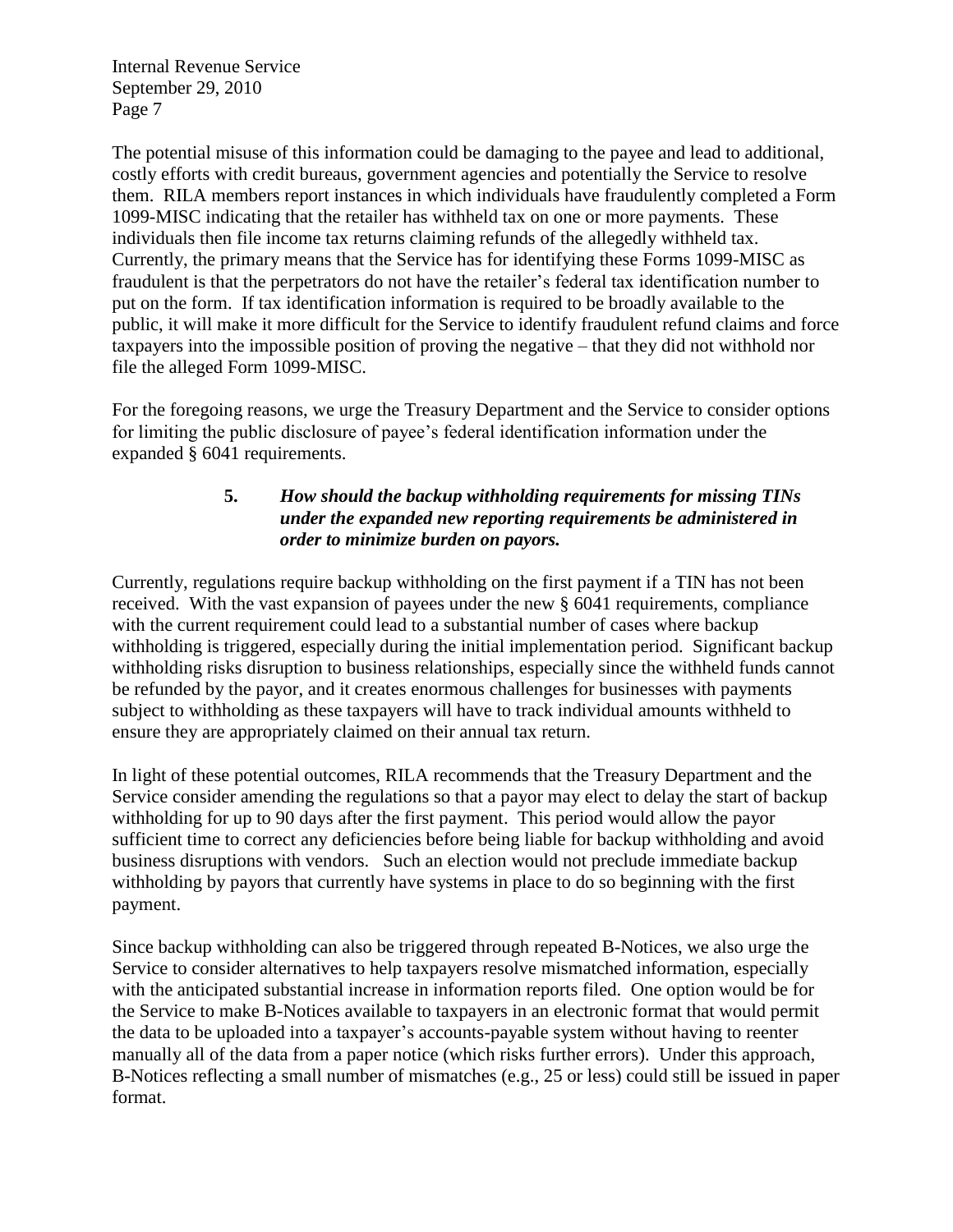The potential misuse of this information could be damaging to the payee and lead to additional, costly efforts with credit bureaus, government agencies and potentially the Service to resolve them. RILA members report instances in which individuals have fraudulently completed a Form 1099-MISC indicating that the retailer has withheld tax on one or more payments. These individuals then file income tax returns claiming refunds of the allegedly withheld tax. Currently, the primary means that the Service has for identifying these Forms 1099-MISC as fraudulent is that the perpetrators do not have the retailer's federal tax identification number to put on the form. If tax identification information is required to be broadly available to the public, it will make it more difficult for the Service to identify fraudulent refund claims and force taxpayers into the impossible position of proving the negative – that they did not withhold nor file the alleged Form 1099-MISC.

For the foregoing reasons, we urge the Treasury Department and the Service to consider options for limiting the public disclosure of payee's federal identification information under the expanded § 6041 requirements.

### **5.** *How should the backup withholding requirements for missing TINs under the expanded new reporting requirements be administered in order to minimize burden on payors.*

Currently, regulations require backup withholding on the first payment if a TIN has not been received. With the vast expansion of payees under the new § 6041 requirements, compliance with the current requirement could lead to a substantial number of cases where backup withholding is triggered, especially during the initial implementation period. Significant backup withholding risks disruption to business relationships, especially since the withheld funds cannot be refunded by the payor, and it creates enormous challenges for businesses with payments subject to withholding as these taxpayers will have to track individual amounts withheld to ensure they are appropriately claimed on their annual tax return.

In light of these potential outcomes, RILA recommends that the Treasury Department and the Service consider amending the regulations so that a payor may elect to delay the start of backup withholding for up to 90 days after the first payment. This period would allow the payor sufficient time to correct any deficiencies before being liable for backup withholding and avoid business disruptions with vendors. Such an election would not preclude immediate backup withholding by payors that currently have systems in place to do so beginning with the first payment.

Since backup withholding can also be triggered through repeated B-Notices, we also urge the Service to consider alternatives to help taxpayers resolve mismatched information, especially with the anticipated substantial increase in information reports filed. One option would be for the Service to make B-Notices available to taxpayers in an electronic format that would permit the data to be uploaded into a taxpayer's accounts-payable system without having to reenter manually all of the data from a paper notice (which risks further errors). Under this approach, B-Notices reflecting a small number of mismatches (e.g., 25 or less) could still be issued in paper format.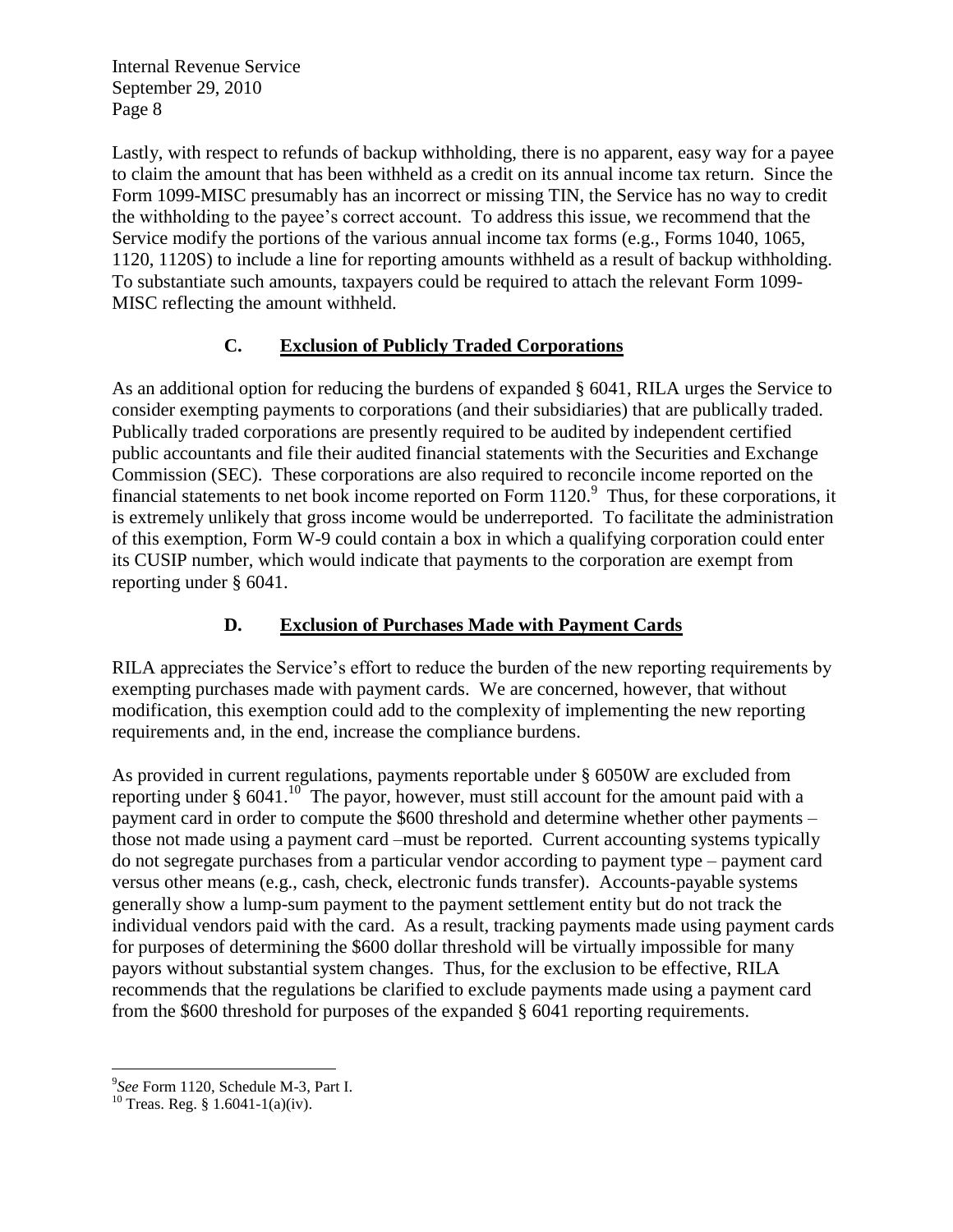Lastly, with respect to refunds of backup withholding, there is no apparent, easy way for a payee to claim the amount that has been withheld as a credit on its annual income tax return. Since the Form 1099-MISC presumably has an incorrect or missing TIN, the Service has no way to credit the withholding to the payee's correct account. To address this issue, we recommend that the Service modify the portions of the various annual income tax forms (e.g., Forms 1040, 1065, 1120, 1120S) to include a line for reporting amounts withheld as a result of backup withholding. To substantiate such amounts, taxpayers could be required to attach the relevant Form 1099- MISC reflecting the amount withheld.

# **C. Exclusion of Publicly Traded Corporations**

As an additional option for reducing the burdens of expanded § 6041, RILA urges the Service to consider exempting payments to corporations (and their subsidiaries) that are publically traded. Publically traded corporations are presently required to be audited by independent certified public accountants and file their audited financial statements with the Securities and Exchange Commission (SEC). These corporations are also required to reconcile income reported on the financial statements to net book income reported on Form  $1120$ . Thus, for these corporations, it is extremely unlikely that gross income would be underreported. To facilitate the administration of this exemption, Form W-9 could contain a box in which a qualifying corporation could enter its CUSIP number, which would indicate that payments to the corporation are exempt from reporting under § 6041.

# **D. Exclusion of Purchases Made with Payment Cards**

RILA appreciates the Service's effort to reduce the burden of the new reporting requirements by exempting purchases made with payment cards. We are concerned, however, that without modification, this exemption could add to the complexity of implementing the new reporting requirements and, in the end, increase the compliance burdens.

As provided in current regulations, payments reportable under § 6050W are excluded from reporting under  $\S 6041$ .<sup>10</sup> The payor, however, must still account for the amount paid with a payment card in order to compute the \$600 threshold and determine whether other payments – those not made using a payment card –must be reported. Current accounting systems typically do not segregate purchases from a particular vendor according to payment type – payment card versus other means (e.g., cash, check, electronic funds transfer). Accounts-payable systems generally show a lump-sum payment to the payment settlement entity but do not track the individual vendors paid with the card. As a result, tracking payments made using payment cards for purposes of determining the \$600 dollar threshold will be virtually impossible for many payors without substantial system changes. Thus, for the exclusion to be effective, RILA recommends that the regulations be clarified to exclude payments made using a payment card from the  $$600$  threshold for purposes of the expanded  $§$  6041 reporting requirements.

 $\overline{a}$ 

<sup>9</sup> *See* Form 1120, Schedule M-3, Part I.

 $10$  Treas. Reg. § 1.6041-1(a)(iv).